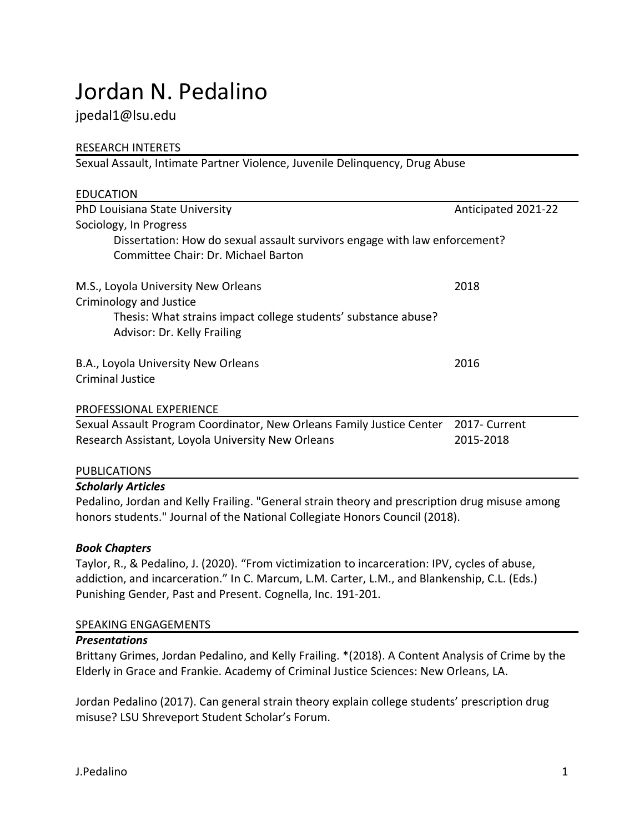# Jordan N. Pedalino

## jpedal1@lsu.edu

## RESEARCH INTERETS

Sexual Assault, Intimate Partner Violence, Juvenile Delinquency, Drug Abuse

| <b>EDUCATION</b>                                                           |                     |
|----------------------------------------------------------------------------|---------------------|
| PhD Louisiana State University                                             | Anticipated 2021-22 |
| Sociology, In Progress                                                     |                     |
| Dissertation: How do sexual assault survivors engage with law enforcement? |                     |
| Committee Chair: Dr. Michael Barton                                        |                     |
| M.S., Loyola University New Orleans                                        | 2018                |
| Criminology and Justice                                                    |                     |
| Thesis: What strains impact college students' substance abuse?             |                     |
| Advisor: Dr. Kelly Frailing                                                |                     |
| B.A., Loyola University New Orleans                                        | 2016                |
| Criminal Justice                                                           |                     |
| <b>PROFESSIONAL EXPERIENCE</b>                                             |                     |
| Sexual Assault Program Coordinator, New Orleans Family Justice Center      | 2017- Current       |
| Research Assistant, Loyola University New Orleans                          | 2015-2018           |
| <b>PUBLICATIONS</b>                                                        |                     |

## *Scholarly Articles*

Pedalino, Jordan and Kelly Frailing. "General strain theory and prescription drug misuse among honors students." Journal of the National Collegiate Honors Council (2018).

## *Book Chapters*

Taylor, R., & Pedalino, J. (2020). "From victimization to incarceration: IPV, cycles of abuse, addiction, and incarceration." In C. Marcum, L.M. Carter, L.M., and Blankenship, C.L. (Eds.) Punishing Gender, Past and Present. Cognella, Inc. 191-201.

## SPEAKING ENGAGEMENTS

#### *Presentations*

Brittany Grimes, Jordan Pedalino, and Kelly Frailing. \*(2018). A Content Analysis of Crime by the Elderly in Grace and Frankie. Academy of Criminal Justice Sciences: New Orleans, LA.

Jordan Pedalino (2017). Can general strain theory explain college students' prescription drug misuse? LSU Shreveport Student Scholar's Forum.